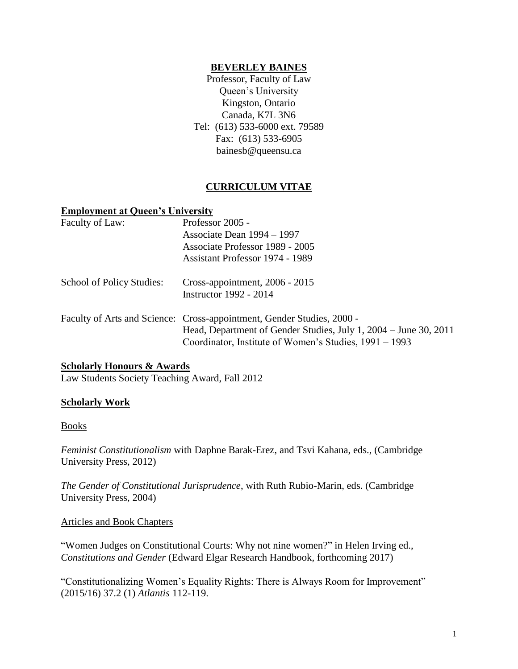### **BEVERLEY BAINES**

Professor, Faculty of Law Queen's University Kingston, Ontario Canada, K7L 3N6 Tel: (613) 533-6000 ext. 79589 Fax: (613) 533-6905 bainesb@queensu.ca

# **CURRICULUM VITAE**

#### **Employment at Queen's University**

| Faculty of Law:           | Professor 2005 -<br>Associate Dean 1994 – 1997<br>Associate Professor 1989 - 2005<br>Assistant Professor 1974 - 1989                                                                                 |
|---------------------------|------------------------------------------------------------------------------------------------------------------------------------------------------------------------------------------------------|
| School of Policy Studies: | Cross-appointment, 2006 - 2015<br><b>Instructor 1992 - 2014</b>                                                                                                                                      |
|                           | Faculty of Arts and Science: Cross-appointment, Gender Studies, 2000 -<br>Head, Department of Gender Studies, July 1, 2004 – June 30, 2011<br>Coordinator, Institute of Women's Studies, 1991 – 1993 |

### **Scholarly Honours & Awards**

Law Students Society Teaching Award, Fall 2012

### **Scholarly Work**

#### Books

*Feminist Constitutionalism* with Daphne Barak-Erez, and Tsvi Kahana, eds., (Cambridge University Press, 2012)

*The Gender of Constitutional Jurisprudence*, with Ruth Rubio-Marin, eds. (Cambridge University Press, 2004)

### Articles and Book Chapters

"Women Judges on Constitutional Courts: Why not nine women?" in Helen Irving ed., *Constitutions and Gender* (Edward Elgar Research Handbook, forthcoming 2017)

"Constitutionalizing Women's Equality Rights: There is Always Room for Improvement" (2015/16) 37.2 (1) *Atlantis* 112-119.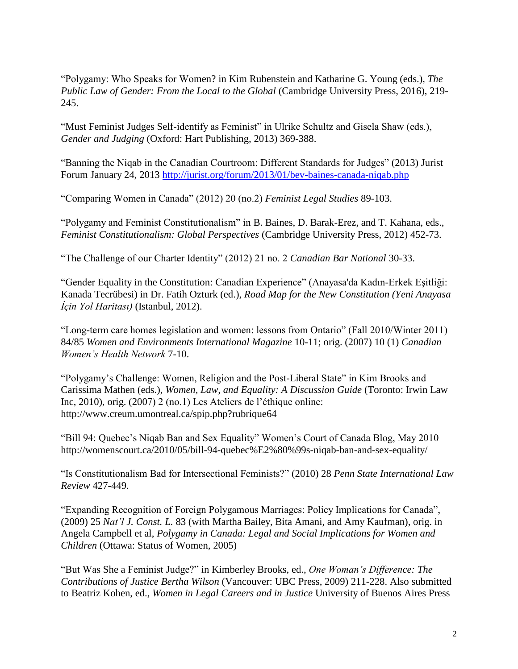"Polygamy: Who Speaks for Women? in Kim Rubenstein and Katharine G. Young (eds.), *The Public Law of Gender: From the Local to the Global* (Cambridge University Press, 2016), 219- 245.

"Must Feminist Judges Self-identify as Feminist" in Ulrike Schultz and Gisela Shaw (eds.), *Gender and Judging* (Oxford: Hart Publishing, 2013) 369-388.

"Banning the Niqab in the Canadian Courtroom: Different Standards for Judges" (2013) Jurist Forum January 24, 2013<http://jurist.org/forum/2013/01/bev-baines-canada-niqab.php>

"Comparing Women in Canada" (2012) 20 (no.2) *Feminist Legal Studies* 89-103.

"Polygamy and Feminist Constitutionalism" in B. Baines, D. Barak-Erez, and T. Kahana, eds., *Feminist Constitutionalism: Global Perspectives* (Cambridge University Press, 2012) 452-73.

"The Challenge of our Charter Identity" (2012) 21 no. 2 *Canadian Bar National* 30-33.

"Gender Equality in the Constitution: Canadian Experience" (Anayasa'da Kadın-Erkek Eşitliği: Kanada Tecrübesi) in Dr. Fatih Ozturk (ed.), *Road Map for the New Constitution (Yeni Anayasa İçin Yol Haritası)* (Istanbul, 2012).

"Long-term care homes legislation and women: lessons from Ontario" (Fall 2010/Winter 2011) 84/85 *Women and Environments International Magazine* 10-11; orig. (2007) 10 (1) *Canadian Women's Health Network* 7-10.

"Polygamy's Challenge: Women, Religion and the Post-Liberal State" in Kim Brooks and Carissima Mathen (eds.), *Women, Law, and Equality: A Discussion Guide* (Toronto: Irwin Law Inc, 2010), orig. (2007) 2 (no.1) Les Ateliers de l'éthique online: http://www.creum.umontreal.ca/spip.php?rubrique64

"Bill 94: Quebec's Niqab Ban and Sex Equality" Women's Court of Canada Blog, May 2010 http://womenscourt.ca/2010/05/bill-94-quebec%E2%80%99s-niqab-ban-and-sex-equality/

"Is Constitutionalism Bad for Intersectional Feminists?" (2010) 28 *Penn State International Law Review* 427-449.

"Expanding Recognition of Foreign Polygamous Marriages: Policy Implications for Canada", (2009) 25 *Nat'l J. Const. L.* 83 (with Martha Bailey, Bita Amani, and Amy Kaufman), orig. in Angela Campbell et al, *Polygamy in Canada: Legal and Social Implications for Women and Children* (Ottawa: Status of Women, 2005)

"But Was She a Feminist Judge?" in Kimberley Brooks, ed., *One Woman's Difference: The Contributions of Justice Bertha Wilson* (Vancouver: UBC Press, 2009) 211-228. Also submitted to Beatriz Kohen, ed., *Women in Legal Careers and in Justice* University of Buenos Aires Press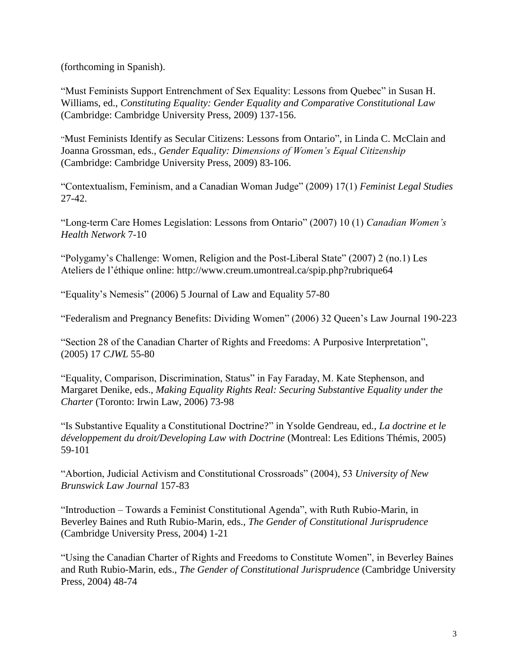(forthcoming in Spanish).

"Must Feminists Support Entrenchment of Sex Equality: Lessons from Quebec" in Susan H. Williams, ed., *Constituting Equality: Gender Equality and Comparative Constitutional Law* (Cambridge: Cambridge University Press, 2009) 137-156.

"Must Feminists Identify as Secular Citizens: Lessons from Ontario", in Linda C. McClain and Joanna Grossman, eds., *Gender Equality: Dimensions of Women's Equal Citizenship* (Cambridge: Cambridge University Press, 2009) 83-106.

"Contextualism, Feminism, and a Canadian Woman Judge" (2009) 17(1) *Feminist Legal Studies* 27-42.

"Long-term Care Homes Legislation: Lessons from Ontario" (2007) 10 (1) *Canadian Women's Health Network* 7-10

"Polygamy's Challenge: Women, Religion and the Post-Liberal State" (2007) 2 (no.1) Les Ateliers de l'éthique online: http://www.creum.umontreal.ca/spip.php?rubrique64

"Equality's Nemesis" (2006) 5 Journal of Law and Equality 57-80

"Federalism and Pregnancy Benefits: Dividing Women" (2006) 32 Queen's Law Journal 190-223

"Section 28 of the Canadian Charter of Rights and Freedoms: A Purposive Interpretation", (2005) 17 *CJWL* 55-80

"Equality, Comparison, Discrimination, Status" in Fay Faraday, M. Kate Stephenson, and Margaret Denike, eds., *Making Equality Rights Real: Securing Substantive Equality under the Charter* (Toronto: Irwin Law, 2006) 73-98

"Is Substantive Equality a Constitutional Doctrine?" in Ysolde Gendreau, ed., *La doctrine et le développement du droit/Developing Law with Doctrine* (Montreal: Les Editions Thémis, 2005) 59-101

"Abortion, Judicial Activism and Constitutional Crossroads" (2004), 53 *University of New Brunswick Law Journal* 157-83

"Introduction – Towards a Feminist Constitutional Agenda", with Ruth Rubio-Marin, in Beverley Baines and Ruth Rubio-Marin, eds., *The Gender of Constitutional Jurisprudence* (Cambridge University Press, 2004) 1-21

"Using the Canadian Charter of Rights and Freedoms to Constitute Women", in Beverley Baines and Ruth Rubio-Marin, eds., *The Gender of Constitutional Jurisprudence* (Cambridge University Press, 2004) 48-74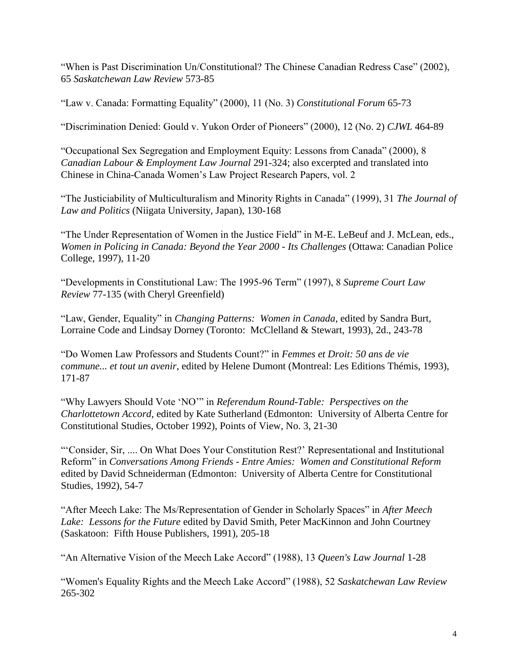"When is Past Discrimination Un/Constitutional? The Chinese Canadian Redress Case" (2002), 65 *Saskatchewan Law Review* 573-85

"Law v. Canada: Formatting Equality" (2000), 11 (No. 3) *Constitutional Forum* 65-73

"Discrimination Denied: Gould v. Yukon Order of Pioneers" (2000), 12 (No. 2) *CJWL* 464-89

"Occupational Sex Segregation and Employment Equity: Lessons from Canada" (2000), 8 *Canadian Labour & Employment Law Journal* 291-324; also excerpted and translated into Chinese in China-Canada Women's Law Project Research Papers, vol. 2

"The Justiciability of Multiculturalism and Minority Rights in Canada" (1999), 31 *The Journal of Law and Politics* (Niigata University, Japan), 130-168

"The Under Representation of Women in the Justice Field" in M-E. LeBeuf and J. McLean, eds., *Women in Policing in Canada: Beyond the Year 2000 - Its Challenges* (Ottawa: Canadian Police College, 1997), 11-20

"Developments in Constitutional Law: The 1995-96 Term" (1997), 8 *Supreme Court Law Review* 77-135 (with Cheryl Greenfield)

"Law, Gender, Equality" in *Changing Patterns: Women in Canada*, edited by Sandra Burt, Lorraine Code and Lindsay Dorney (Toronto: McClelland & Stewart, 1993), 2d., 243-78

"Do Women Law Professors and Students Count?" in *Femmes et Droit: 50 ans de vie commune... et tout un avenir*, edited by Helene Dumont (Montreal: Les Editions Thémis, 1993), 171-87

"Why Lawyers Should Vote 'NO'" in *Referendum Round-Table: Perspectives on the Charlottetown Accord*, edited by Kate Sutherland (Edmonton: University of Alberta Centre for Constitutional Studies, October 1992), Points of View, No. 3, 21-30

"'Consider, Sir, .... On What Does Your Constitution Rest?' Representational and Institutional Reform" in *Conversations Among Friends - Entre Amies: Women and Constitutional Reform* edited by David Schneiderman (Edmonton: University of Alberta Centre for Constitutional Studies, 1992), 54-7

"After Meech Lake: The Ms/Representation of Gender in Scholarly Spaces" in *After Meech Lake: Lessons for the Future* edited by David Smith, Peter MacKinnon and John Courtney (Saskatoon: Fifth House Publishers, 1991), 205-18

"An Alternative Vision of the Meech Lake Accord" (1988), 13 *Queen's Law Journal* 1-28

"Women's Equality Rights and the Meech Lake Accord" (1988), 52 *Saskatchewan Law Review* 265-302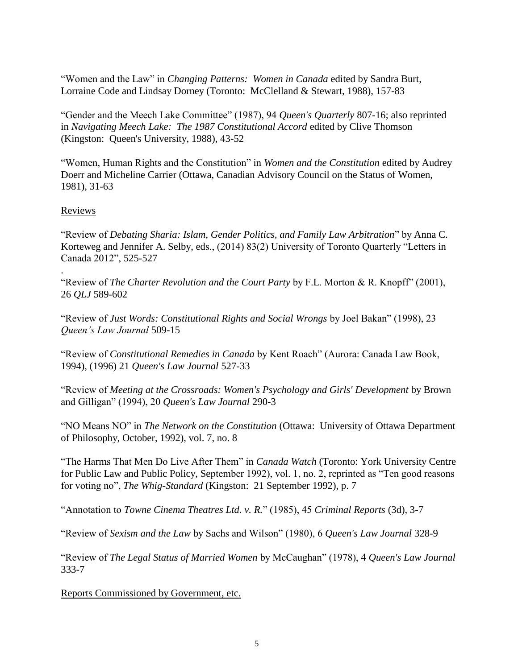"Women and the Law" in *Changing Patterns: Women in Canada* edited by Sandra Burt, Lorraine Code and Lindsay Dorney (Toronto: McClelland & Stewart, 1988), 157-83

"Gender and the Meech Lake Committee" (1987), 94 *Queen's Quarterly* 807-16; also reprinted in *Navigating Meech Lake: The 1987 Constitutional Accord* edited by Clive Thomson (Kingston: Queen's University, 1988), 43-52

"Women, Human Rights and the Constitution" in *Women and the Constitution* edited by Audrey Doerr and Micheline Carrier (Ottawa, Canadian Advisory Council on the Status of Women, 1981), 31-63

## Reviews

.

"Review of *Debating Sharia: Islam, Gender Politics, and Family Law Arbitration*" by Anna C. Korteweg and Jennifer A. Selby, eds., (2014) 83(2) University of Toronto Quarterly "Letters in Canada 2012", 525-527

"Review of *The Charter Revolution and the Court Party* by F.L. Morton & R. Knopff" (2001), 26 *QLJ* 589-602

"Review of *Just Words: Constitutional Rights and Social Wrongs* by Joel Bakan" (1998), 23 *Queen's Law Journal* 509-15

"Review of *Constitutional Remedies in Canada* by Kent Roach" (Aurora: Canada Law Book, 1994), (1996) 21 *Queen's Law Journal* 527-33

"Review of *Meeting at the Crossroads: Women's Psychology and Girls' Development* by Brown and Gilligan" (1994), 20 *Queen's Law Journal* 290-3

"NO Means NO" in *The Network on the Constitution* (Ottawa: University of Ottawa Department of Philosophy, October, 1992), vol. 7, no. 8

"The Harms That Men Do Live After Them" in *Canada Watch* (Toronto: York University Centre for Public Law and Public Policy, September 1992), vol. 1, no. 2, reprinted as "Ten good reasons for voting no", *The Whig-Standard* (Kingston: 21 September 1992), p. 7

"Annotation to *Towne Cinema Theatres Ltd. v. R.*" (1985), 45 *Criminal Reports* (3d), 3-7

"Review of *Sexism and the Law* by Sachs and Wilson" (1980), 6 *Queen's Law Journal* 328-9

"Review of *The Legal Status of Married Women* by McCaughan" (1978), 4 *Queen's Law Journal* 333-7

Reports Commissioned by Government, etc.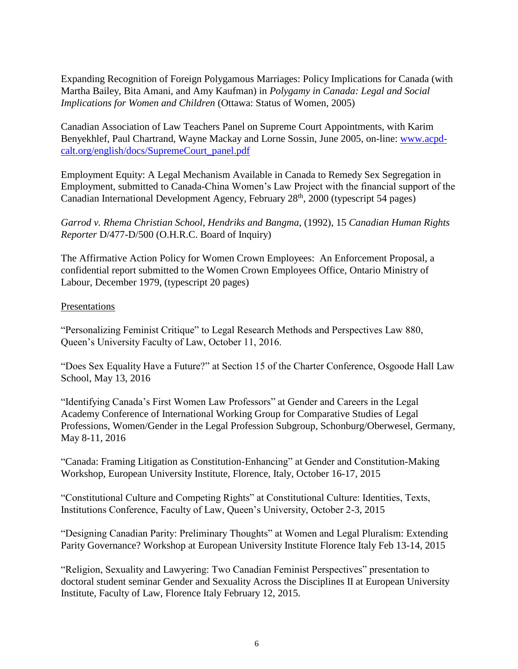Expanding Recognition of Foreign Polygamous Marriages: Policy Implications for Canada (with Martha Bailey, Bita Amani, and Amy Kaufman) in *Polygamy in Canada: Legal and Social Implications for Women and Children* (Ottawa: Status of Women, 2005)

Canadian Association of Law Teachers Panel on Supreme Court Appointments, with Karim Benyekhlef, Paul Chartrand, Wayne Mackay and Lorne Sossin, June 2005, on-line: [www.acpd](http://www.acpd-calt.org/english/docs/SupremeCourt_panel.pdf)[calt.org/english/docs/SupremeCourt\\_panel.pdf](http://www.acpd-calt.org/english/docs/SupremeCourt_panel.pdf)

Employment Equity: A Legal Mechanism Available in Canada to Remedy Sex Segregation in Employment, submitted to Canada-China Women's Law Project with the financial support of the Canadian International Development Agency, February  $28<sup>th</sup>$ ,  $2000$  (typescript 54 pages)

*Garrod v. Rhema Christian School, Hendriks and Bangma*, (1992), 15 *Canadian Human Rights Reporter* D/477-D/500 (O.H.R.C. Board of Inquiry)

The Affirmative Action Policy for Women Crown Employees: An Enforcement Proposal, a confidential report submitted to the Women Crown Employees Office, Ontario Ministry of Labour, December 1979, (typescript 20 pages)

### **Presentations**

"Personalizing Feminist Critique" to Legal Research Methods and Perspectives Law 880, Queen's University Faculty of Law, October 11, 2016.

"Does Sex Equality Have a Future?" at Section 15 of the Charter Conference, Osgoode Hall Law School, May 13, 2016

"Identifying Canada's First Women Law Professors" at Gender and Careers in the Legal Academy Conference of International Working Group for Comparative Studies of Legal Professions, Women/Gender in the Legal Profession Subgroup, Schonburg/Oberwesel, Germany, May 8-11, 2016

"Canada: Framing Litigation as Constitution-Enhancing" at Gender and Constitution-Making Workshop, European University Institute, Florence, Italy, October 16-17, 2015

"Constitutional Culture and Competing Rights" at Constitutional Culture: Identities, Texts, Institutions Conference, Faculty of Law, Queen's University, October 2-3, 2015

"Designing Canadian Parity: Preliminary Thoughts" at Women and Legal Pluralism: Extending Parity Governance? Workshop at European University Institute Florence Italy Feb 13-14, 2015

"Religion, Sexuality and Lawyering: Two Canadian Feminist Perspectives" presentation to doctoral student seminar Gender and Sexuality Across the Disciplines II at European University Institute, Faculty of Law, Florence Italy February 12, 2015.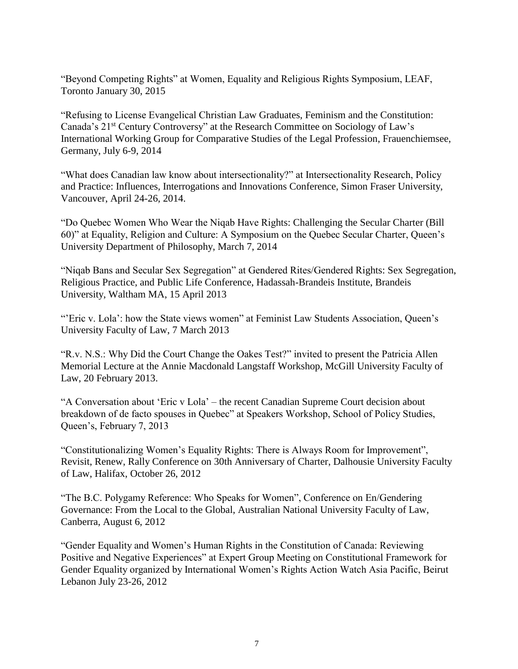"Beyond Competing Rights" at Women, Equality and Religious Rights Symposium, LEAF, Toronto January 30, 2015

"Refusing to License Evangelical Christian Law Graduates, Feminism and the Constitution: Canada's 21st Century Controversy" at the Research Committee on Sociology of Law's International Working Group for Comparative Studies of the Legal Profession, Frauenchiemsee, Germany, July 6-9, 2014

"What does Canadian law know about intersectionality?" at Intersectionality Research, Policy and Practice: Influences, Interrogations and Innovations Conference, Simon Fraser University, Vancouver, April 24-26, 2014.

"Do Quebec Women Who Wear the Niqab Have Rights: Challenging the Secular Charter (Bill 60)" at Equality, Religion and Culture: A Symposium on the Quebec Secular Charter, Queen's University Department of Philosophy, March 7, 2014

"Niqab Bans and Secular Sex Segregation" at Gendered Rites/Gendered Rights: Sex Segregation, Religious Practice, and Public Life Conference, Hadassah-Brandeis Institute, Brandeis University, Waltham MA, 15 April 2013

"'Eric v. Lola': how the State views women" at Feminist Law Students Association, Queen's University Faculty of Law, 7 March 2013

"R.v. N.S.: Why Did the Court Change the Oakes Test?" invited to present the Patricia Allen Memorial Lecture at the Annie Macdonald Langstaff Workshop, McGill University Faculty of Law, 20 February 2013.

"A Conversation about 'Eric v Lola' – the recent Canadian Supreme Court decision about breakdown of de facto spouses in Quebec" at Speakers Workshop, School of Policy Studies, Queen's, February 7, 2013

"Constitutionalizing Women's Equality Rights: There is Always Room for Improvement", Revisit, Renew, Rally Conference on 30th Anniversary of Charter, Dalhousie University Faculty of Law, Halifax, October 26, 2012

"The B.C. Polygamy Reference: Who Speaks for Women", Conference on En/Gendering Governance: From the Local to the Global, Australian National University Faculty of Law, Canberra, August 6, 2012

"Gender Equality and Women's Human Rights in the Constitution of Canada: Reviewing Positive and Negative Experiences" at Expert Group Meeting on Constitutional Framework for Gender Equality organized by International Women's Rights Action Watch Asia Pacific, Beirut Lebanon July 23-26, 2012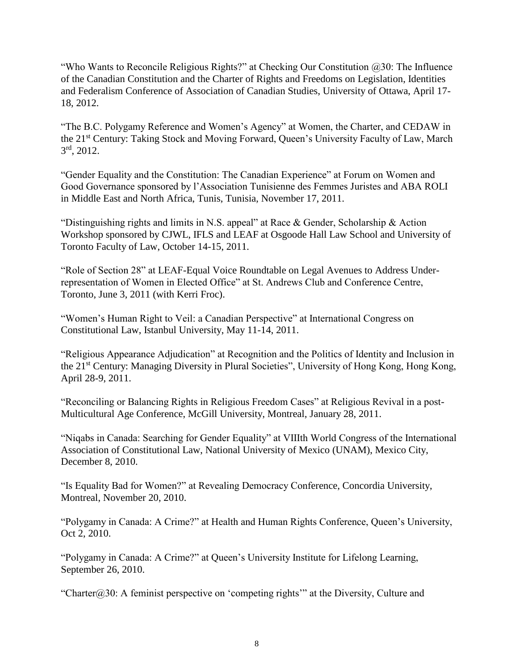"Who Wants to Reconcile Religious Rights?" at Checking Our Constitution @30: The Influence of the Canadian Constitution and the Charter of Rights and Freedoms on Legislation, Identities and Federalism Conference of Association of Canadian Studies, University of Ottawa, April 17- 18, 2012.

"The B.C. Polygamy Reference and Women's Agency" at Women, the Charter, and CEDAW in the 21st Century: Taking Stock and Moving Forward, Queen's University Faculty of Law, March 3 rd, 2012.

"Gender Equality and the Constitution: The Canadian Experience" at Forum on Women and Good Governance sponsored by l'Association Tunisienne des Femmes Juristes and ABA ROLI in Middle East and North Africa, Tunis, Tunisia, November 17, 2011.

"Distinguishing rights and limits in N.S. appeal" at Race & Gender, Scholarship & Action Workshop sponsored by CJWL, IFLS and LEAF at Osgoode Hall Law School and University of Toronto Faculty of Law, October 14-15, 2011.

"Role of Section 28" at LEAF-Equal Voice Roundtable on Legal Avenues to Address Underrepresentation of Women in Elected Office" at St. Andrews Club and Conference Centre, Toronto, June 3, 2011 (with Kerri Froc).

"Women's Human Right to Veil: a Canadian Perspective" at International Congress on Constitutional Law, Istanbul University, May 11-14, 2011.

"Religious Appearance Adjudication" at Recognition and the Politics of Identity and Inclusion in the 21st Century: Managing Diversity in Plural Societies", University of Hong Kong, Hong Kong, April 28-9, 2011.

"Reconciling or Balancing Rights in Religious Freedom Cases" at Religious Revival in a post-Multicultural Age Conference, McGill University, Montreal, January 28, 2011.

"Niqabs in Canada: Searching for Gender Equality" at VIIIth World Congress of the International Association of Constitutional Law, National University of Mexico (UNAM), Mexico City, December 8, 2010.

"Is Equality Bad for Women?" at Revealing Democracy Conference, Concordia University, Montreal, November 20, 2010.

"Polygamy in Canada: A Crime?" at Health and Human Rights Conference, Queen's University, Oct 2, 2010.

"Polygamy in Canada: A Crime?" at Queen's University Institute for Lifelong Learning, September 26, 2010.

"Charter $@30$ : A feminist perspective on 'competing rights'" at the Diversity, Culture and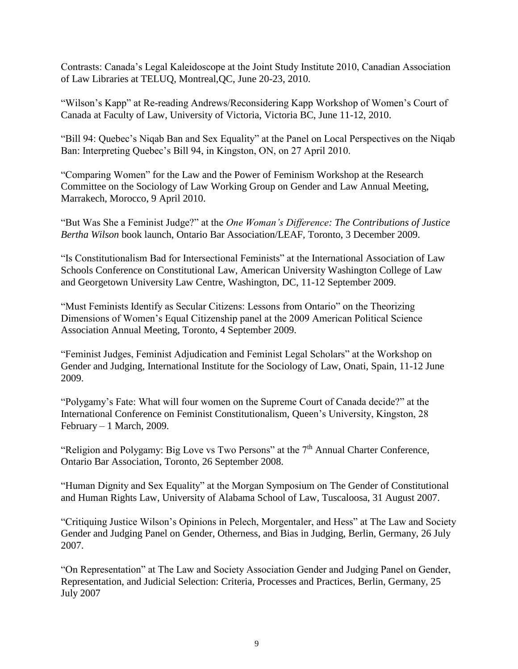Contrasts: Canada's Legal Kaleidoscope at the Joint Study Institute 2010, Canadian Association of Law Libraries at TELUQ, Montreal,QC, June 20-23, 2010.

"Wilson's Kapp" at Re-reading Andrews/Reconsidering Kapp Workshop of Women's Court of Canada at Faculty of Law, University of Victoria, Victoria BC, June 11-12, 2010.

"Bill 94: Quebec's Niqab Ban and Sex Equality" at the Panel on Local Perspectives on the Niqab Ban: Interpreting Quebec's Bill 94, in Kingston, ON, on 27 April 2010.

"Comparing Women" for the Law and the Power of Feminism Workshop at the Research Committee on the Sociology of Law Working Group on Gender and Law Annual Meeting, Marrakech, Morocco, 9 April 2010.

"But Was She a Feminist Judge?" at the *One Woman's Difference: The Contributions of Justice Bertha Wilson* book launch, Ontario Bar Association/LEAF, Toronto, 3 December 2009.

"Is Constitutionalism Bad for Intersectional Feminists" at the International Association of Law Schools Conference on Constitutional Law, American University Washington College of Law and Georgetown University Law Centre, Washington, DC, 11-12 September 2009.

"Must Feminists Identify as Secular Citizens: Lessons from Ontario" on the Theorizing Dimensions of Women's Equal Citizenship panel at the 2009 American Political Science Association Annual Meeting, Toronto, 4 September 2009.

"Feminist Judges, Feminist Adjudication and Feminist Legal Scholars" at the Workshop on Gender and Judging, International Institute for the Sociology of Law, Onati, Spain, 11-12 June 2009.

"Polygamy's Fate: What will four women on the Supreme Court of Canada decide?" at the International Conference on Feminist Constitutionalism, Queen's University, Kingston, 28 February – 1 March, 2009.

"Religion and Polygamy: Big Love vs Two Persons" at the 7<sup>th</sup> Annual Charter Conference, Ontario Bar Association, Toronto, 26 September 2008.

"Human Dignity and Sex Equality" at the Morgan Symposium on The Gender of Constitutional and Human Rights Law, University of Alabama School of Law, Tuscaloosa, 31 August 2007.

"Critiquing Justice Wilson's Opinions in Pelech, Morgentaler, and Hess" at The Law and Society Gender and Judging Panel on Gender, Otherness, and Bias in Judging, Berlin, Germany, 26 July 2007.

"On Representation" at The Law and Society Association Gender and Judging Panel on Gender, Representation, and Judicial Selection: Criteria, Processes and Practices, Berlin, Germany, 25 July 2007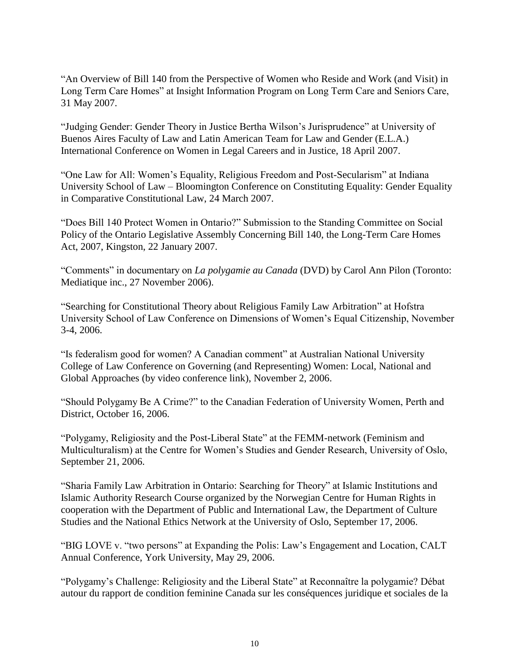"An Overview of Bill 140 from the Perspective of Women who Reside and Work (and Visit) in Long Term Care Homes" at Insight Information Program on Long Term Care and Seniors Care, 31 May 2007.

"Judging Gender: Gender Theory in Justice Bertha Wilson's Jurisprudence" at University of Buenos Aires Faculty of Law and Latin American Team for Law and Gender (E.L.A.) International Conference on Women in Legal Careers and in Justice, 18 April 2007.

"One Law for All: Women's Equality, Religious Freedom and Post-Secularism" at Indiana University School of Law – Bloomington Conference on Constituting Equality: Gender Equality in Comparative Constitutional Law, 24 March 2007.

"Does Bill 140 Protect Women in Ontario?" Submission to the Standing Committee on Social Policy of the Ontario Legislative Assembly Concerning Bill 140, the Long-Term Care Homes Act, 2007, Kingston, 22 January 2007.

"Comments" in documentary on *La polygamie au Canada* (DVD) by Carol Ann Pilon (Toronto: Mediatique inc., 27 November 2006).

"Searching for Constitutional Theory about Religious Family Law Arbitration" at Hofstra University School of Law Conference on Dimensions of Women's Equal Citizenship, November 3-4, 2006.

"Is federalism good for women? A Canadian comment" at Australian National University College of Law Conference on Governing (and Representing) Women: Local, National and Global Approaches (by video conference link), November 2, 2006.

"Should Polygamy Be A Crime?" to the Canadian Federation of University Women, Perth and District, October 16, 2006.

"Polygamy, Religiosity and the Post-Liberal State" at the FEMM-network (Feminism and Multiculturalism) at the Centre for Women's Studies and Gender Research, University of Oslo, September 21, 2006.

"Sharia Family Law Arbitration in Ontario: Searching for Theory" at Islamic Institutions and Islamic Authority Research Course organized by the Norwegian Centre for Human Rights in cooperation with the Department of Public and International Law, the Department of Culture Studies and the National Ethics Network at the University of Oslo, September 17, 2006.

"BIG LOVE v. "two persons" at Expanding the Polis: Law's Engagement and Location, CALT Annual Conference, York University, May 29, 2006.

"Polygamy's Challenge: Religiosity and the Liberal State" at Reconnaître la polygamie? Débat autour du rapport de condition feminine Canada sur les conséquences juridique et sociales de la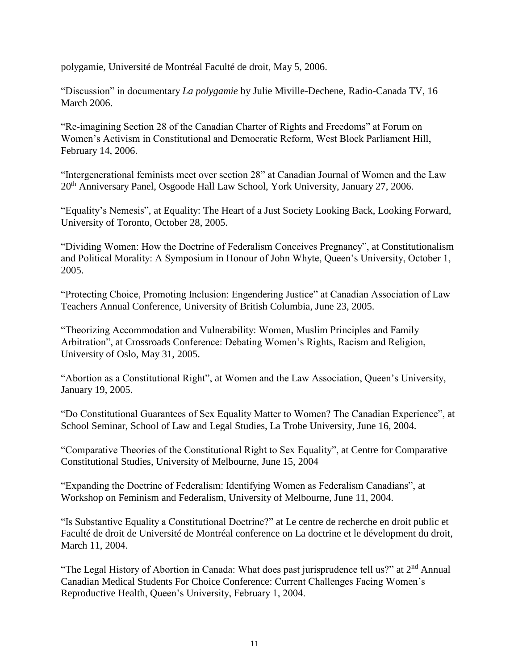polygamie, Université de Montréal Faculté de droit, May 5, 2006.

"Discussion" in documentary *La polygamie* by Julie Miville-Dechene, Radio-Canada TV, 16 March 2006.

"Re-imagining Section 28 of the Canadian Charter of Rights and Freedoms" at Forum on Women's Activism in Constitutional and Democratic Reform, West Block Parliament Hill, February 14, 2006.

"Intergenerational feminists meet over section 28" at Canadian Journal of Women and the Law 20th Anniversary Panel, Osgoode Hall Law School, York University, January 27, 2006.

"Equality's Nemesis", at Equality: The Heart of a Just Society Looking Back, Looking Forward, University of Toronto, October 28, 2005.

"Dividing Women: How the Doctrine of Federalism Conceives Pregnancy", at Constitutionalism and Political Morality: A Symposium in Honour of John Whyte, Queen's University, October 1, 2005.

"Protecting Choice, Promoting Inclusion: Engendering Justice" at Canadian Association of Law Teachers Annual Conference, University of British Columbia, June 23, 2005.

"Theorizing Accommodation and Vulnerability: Women, Muslim Principles and Family Arbitration", at Crossroads Conference: Debating Women's Rights, Racism and Religion, University of Oslo, May 31, 2005.

"Abortion as a Constitutional Right", at Women and the Law Association, Queen's University, January 19, 2005.

"Do Constitutional Guarantees of Sex Equality Matter to Women? The Canadian Experience", at School Seminar, School of Law and Legal Studies, La Trobe University, June 16, 2004.

"Comparative Theories of the Constitutional Right to Sex Equality", at Centre for Comparative Constitutional Studies, University of Melbourne, June 15, 2004

"Expanding the Doctrine of Federalism: Identifying Women as Federalism Canadians", at Workshop on Feminism and Federalism, University of Melbourne, June 11, 2004.

"Is Substantive Equality a Constitutional Doctrine?" at Le centre de recherche en droit public et Faculté de droit de Université de Montréal conference on La doctrine et le dévelopment du droit, March 11, 2004.

"The Legal History of Abortion in Canada: What does past jurisprudence tell us?" at 2<sup>nd</sup> Annual Canadian Medical Students For Choice Conference: Current Challenges Facing Women's Reproductive Health, Queen's University, February 1, 2004.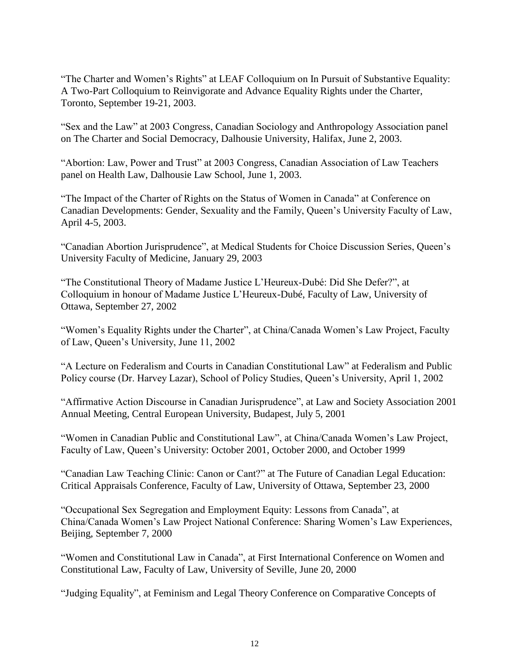"The Charter and Women's Rights" at LEAF Colloquium on In Pursuit of Substantive Equality: A Two-Part Colloquium to Reinvigorate and Advance Equality Rights under the Charter, Toronto, September 19-21, 2003.

"Sex and the Law" at 2003 Congress, Canadian Sociology and Anthropology Association panel on The Charter and Social Democracy, Dalhousie University, Halifax, June 2, 2003.

"Abortion: Law, Power and Trust" at 2003 Congress, Canadian Association of Law Teachers panel on Health Law, Dalhousie Law School, June 1, 2003.

"The Impact of the Charter of Rights on the Status of Women in Canada" at Conference on Canadian Developments: Gender, Sexuality and the Family, Queen's University Faculty of Law, April 4-5, 2003.

"Canadian Abortion Jurisprudence", at Medical Students for Choice Discussion Series, Queen's University Faculty of Medicine, January 29, 2003

"The Constitutional Theory of Madame Justice L'Heureux-Dubé: Did She Defer?", at Colloquium in honour of Madame Justice L'Heureux-Dubé, Faculty of Law, University of Ottawa, September 27, 2002

"Women's Equality Rights under the Charter", at China/Canada Women's Law Project, Faculty of Law, Queen's University, June 11, 2002

"A Lecture on Federalism and Courts in Canadian Constitutional Law" at Federalism and Public Policy course (Dr. Harvey Lazar), School of Policy Studies, Queen's University, April 1, 2002

"Affirmative Action Discourse in Canadian Jurisprudence", at Law and Society Association 2001 Annual Meeting, Central European University, Budapest, July 5, 2001

"Women in Canadian Public and Constitutional Law", at China/Canada Women's Law Project, Faculty of Law, Queen's University: October 2001, October 2000, and October 1999

"Canadian Law Teaching Clinic: Canon or Cant?" at The Future of Canadian Legal Education: Critical Appraisals Conference, Faculty of Law, University of Ottawa, September 23, 2000

"Occupational Sex Segregation and Employment Equity: Lessons from Canada", at China/Canada Women's Law Project National Conference: Sharing Women's Law Experiences, Beijing, September 7, 2000

"Women and Constitutional Law in Canada", at First International Conference on Women and Constitutional Law, Faculty of Law, University of Seville, June 20, 2000

"Judging Equality", at Feminism and Legal Theory Conference on Comparative Concepts of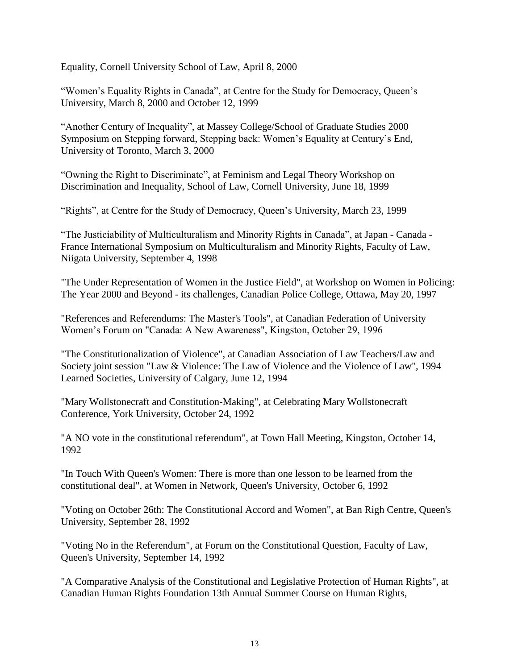Equality, Cornell University School of Law, April 8, 2000

"Women's Equality Rights in Canada", at Centre for the Study for Democracy, Queen's University, March 8, 2000 and October 12, 1999

"Another Century of Inequality", at Massey College/School of Graduate Studies 2000 Symposium on Stepping forward, Stepping back: Women's Equality at Century's End, University of Toronto, March 3, 2000

"Owning the Right to Discriminate", at Feminism and Legal Theory Workshop on Discrimination and Inequality, School of Law, Cornell University, June 18, 1999

"Rights", at Centre for the Study of Democracy, Queen's University, March 23, 1999

"The Justiciability of Multiculturalism and Minority Rights in Canada", at Japan - Canada - France International Symposium on Multiculturalism and Minority Rights, Faculty of Law, Niigata University, September 4, 1998

"The Under Representation of Women in the Justice Field", at Workshop on Women in Policing: The Year 2000 and Beyond - its challenges, Canadian Police College, Ottawa, May 20, 1997

"References and Referendums: The Master's Tools", at Canadian Federation of University Women's Forum on "Canada: A New Awareness", Kingston, October 29, 1996

"The Constitutionalization of Violence", at Canadian Association of Law Teachers/Law and Society joint session "Law & Violence: The Law of Violence and the Violence of Law", 1994 Learned Societies, University of Calgary, June 12, 1994

"Mary Wollstonecraft and Constitution-Making", at Celebrating Mary Wollstonecraft Conference, York University, October 24, 1992

"A NO vote in the constitutional referendum", at Town Hall Meeting, Kingston, October 14, 1992

"In Touch With Queen's Women: There is more than one lesson to be learned from the constitutional deal", at Women in Network, Queen's University, October 6, 1992

"Voting on October 26th: The Constitutional Accord and Women", at Ban Righ Centre, Queen's University, September 28, 1992

"Voting No in the Referendum", at Forum on the Constitutional Question, Faculty of Law, Queen's University, September 14, 1992

"A Comparative Analysis of the Constitutional and Legislative Protection of Human Rights", at Canadian Human Rights Foundation 13th Annual Summer Course on Human Rights,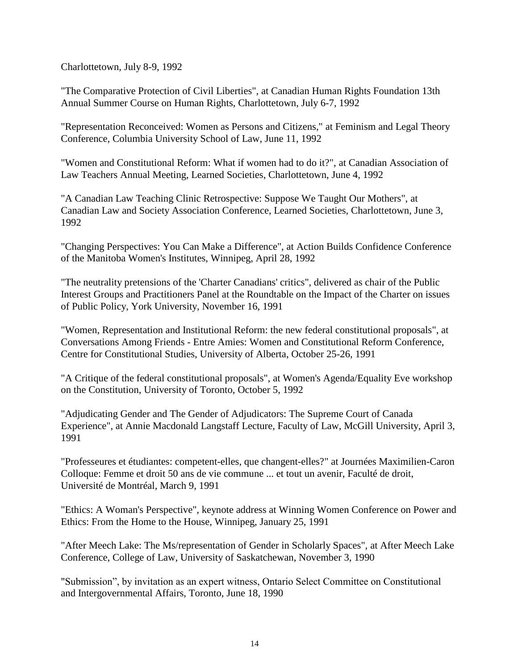Charlottetown, July 8-9, 1992

"The Comparative Protection of Civil Liberties", at Canadian Human Rights Foundation 13th Annual Summer Course on Human Rights, Charlottetown, July 6-7, 1992

"Representation Reconceived: Women as Persons and Citizens," at Feminism and Legal Theory Conference, Columbia University School of Law, June 11, 1992

"Women and Constitutional Reform: What if women had to do it?", at Canadian Association of Law Teachers Annual Meeting, Learned Societies, Charlottetown, June 4, 1992

"A Canadian Law Teaching Clinic Retrospective: Suppose We Taught Our Mothers", at Canadian Law and Society Association Conference, Learned Societies, Charlottetown, June 3, 1992

"Changing Perspectives: You Can Make a Difference", at Action Builds Confidence Conference of the Manitoba Women's Institutes, Winnipeg, April 28, 1992

"The neutrality pretensions of the 'Charter Canadians' critics", delivered as chair of the Public Interest Groups and Practitioners Panel at the Roundtable on the Impact of the Charter on issues of Public Policy, York University, November 16, 1991

"Women, Representation and Institutional Reform: the new federal constitutional proposals", at Conversations Among Friends - Entre Amies: Women and Constitutional Reform Conference, Centre for Constitutional Studies, University of Alberta, October 25-26, 1991

"A Critique of the federal constitutional proposals", at Women's Agenda/Equality Eve workshop on the Constitution, University of Toronto, October 5, 1992

"Adjudicating Gender and The Gender of Adjudicators: The Supreme Court of Canada Experience", at Annie Macdonald Langstaff Lecture, Faculty of Law, McGill University, April 3, 1991

"Professeures et étudiantes: competent-elles, que changent-elles?" at Journées Maximilien-Caron Colloque: Femme et droit 50 ans de vie commune ... et tout un avenir, Faculté de droit, Université de Montréal, March 9, 1991

"Ethics: A Woman's Perspective", keynote address at Winning Women Conference on Power and Ethics: From the Home to the House, Winnipeg, January 25, 1991

"After Meech Lake: The Ms/representation of Gender in Scholarly Spaces", at After Meech Lake Conference, College of Law, University of Saskatchewan, November 3, 1990

"Submission", by invitation as an expert witness, Ontario Select Committee on Constitutional and Intergovernmental Affairs, Toronto, June 18, 1990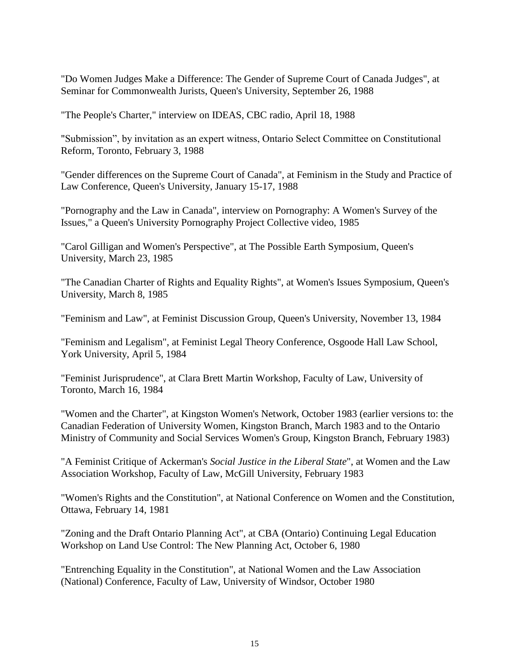"Do Women Judges Make a Difference: The Gender of Supreme Court of Canada Judges", at Seminar for Commonwealth Jurists, Queen's University, September 26, 1988

"The People's Charter," interview on IDEAS, CBC radio, April 18, 1988

"Submission", by invitation as an expert witness, Ontario Select Committee on Constitutional Reform, Toronto, February 3, 1988

"Gender differences on the Supreme Court of Canada", at Feminism in the Study and Practice of Law Conference, Queen's University, January 15-17, 1988

"Pornography and the Law in Canada", interview on Pornography: A Women's Survey of the Issues," a Queen's University Pornography Project Collective video, 1985

"Carol Gilligan and Women's Perspective", at The Possible Earth Symposium, Queen's University, March 23, 1985

"The Canadian Charter of Rights and Equality Rights", at Women's Issues Symposium, Queen's University, March 8, 1985

"Feminism and Law", at Feminist Discussion Group, Queen's University, November 13, 1984

"Feminism and Legalism", at Feminist Legal Theory Conference, Osgoode Hall Law School, York University, April 5, 1984

"Feminist Jurisprudence", at Clara Brett Martin Workshop, Faculty of Law, University of Toronto, March 16, 1984

"Women and the Charter", at Kingston Women's Network, October 1983 (earlier versions to: the Canadian Federation of University Women, Kingston Branch, March 1983 and to the Ontario Ministry of Community and Social Services Women's Group, Kingston Branch, February 1983)

"A Feminist Critique of Ackerman's *Social Justice in the Liberal State*", at Women and the Law Association Workshop, Faculty of Law, McGill University, February 1983

"Women's Rights and the Constitution", at National Conference on Women and the Constitution, Ottawa, February 14, 1981

"Zoning and the Draft Ontario Planning Act", at CBA (Ontario) Continuing Legal Education Workshop on Land Use Control: The New Planning Act, October 6, 1980

"Entrenching Equality in the Constitution", at National Women and the Law Association (National) Conference, Faculty of Law, University of Windsor, October 1980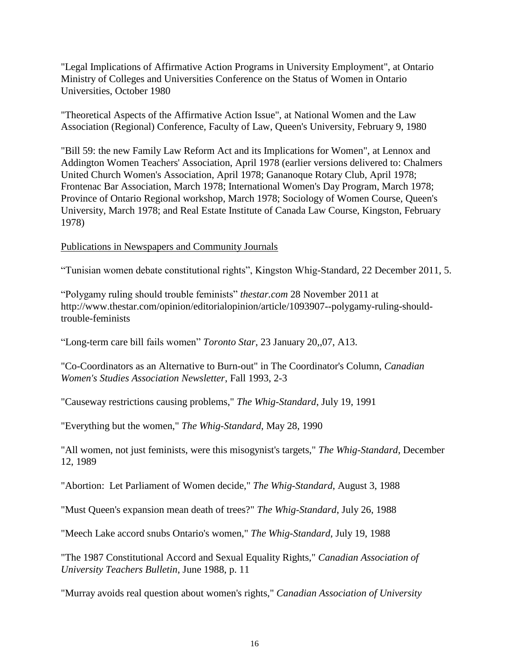"Legal Implications of Affirmative Action Programs in University Employment", at Ontario Ministry of Colleges and Universities Conference on the Status of Women in Ontario Universities, October 1980

"Theoretical Aspects of the Affirmative Action Issue", at National Women and the Law Association (Regional) Conference, Faculty of Law, Queen's University, February 9, 1980

"Bill 59: the new Family Law Reform Act and its Implications for Women", at Lennox and Addington Women Teachers' Association, April 1978 (earlier versions delivered to: Chalmers United Church Women's Association, April 1978; Gananoque Rotary Club, April 1978; Frontenac Bar Association, March 1978; International Women's Day Program, March 1978; Province of Ontario Regional workshop, March 1978; Sociology of Women Course, Queen's University, March 1978; and Real Estate Institute of Canada Law Course, Kingston, February 1978)

### Publications in Newspapers and Community Journals

"Tunisian women debate constitutional rights", Kingston Whig-Standard, 22 December 2011, 5.

"Polygamy ruling should trouble feminists" *thestar.com* 28 November 2011 at http://www.thestar.com/opinion/editorialopinion/article/1093907--polygamy-ruling-shouldtrouble-feminists

"Long-term care bill fails women" *Toronto Star*, 23 January 20,,07, A13.

"Co-Coordinators as an Alternative to Burn-out" in The Coordinator's Column, *Canadian Women's Studies Association Newsletter*, Fall 1993, 2-3

"Causeway restrictions causing problems," *The Whig-Standard*, July 19, 1991

"Everything but the women," *The Whig-Standard*, May 28, 1990

"All women, not just feminists, were this misogynist's targets," *The Whig-Standard*, December 12, 1989

"Abortion: Let Parliament of Women decide," *The Whig-Standard*, August 3, 1988

"Must Queen's expansion mean death of trees?" *The Whig-Standard*, July 26, 1988

"Meech Lake accord snubs Ontario's women," *The Whig-Standard*, July 19, 1988

"The 1987 Constitutional Accord and Sexual Equality Rights," *Canadian Association of University Teachers Bulletin*, June 1988, p. 11

"Murray avoids real question about women's rights," *Canadian Association of University*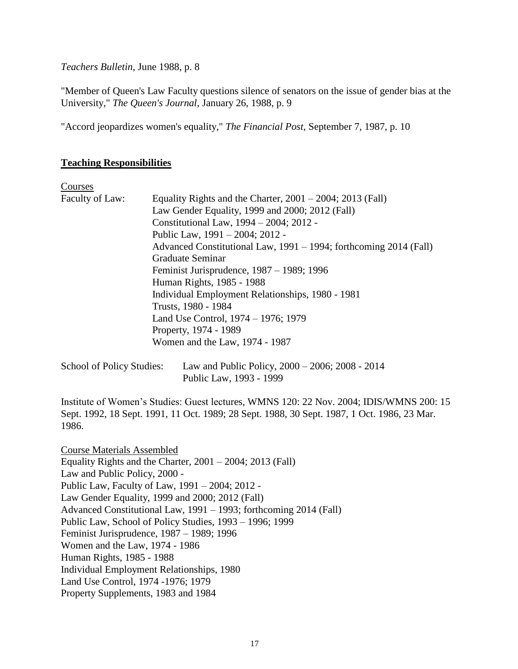*Teachers Bulletin*, June 1988, p. 8

"Member of Queen's Law Faculty questions silence of senators on the issue of gender bias at the University," *The Queen's Journal*, January 26, 1988, p. 9

"Accord jeopardizes women's equality," *The Financial Post*, September 7, 1987, p. 10

#### **Teaching Responsibilities**

Courses

| Faculty of Law:           | Equality Rights and the Charter, $2001 - 2004$ ; $2013$ (Fall)    |  |
|---------------------------|-------------------------------------------------------------------|--|
|                           | Law Gender Equality, 1999 and 2000; 2012 (Fall)                   |  |
|                           | Constitutional Law, 1994 - 2004; 2012 -                           |  |
|                           | Public Law, 1991 – 2004; 2012 -                                   |  |
|                           | Advanced Constitutional Law, 1991 – 1994; forthcoming 2014 (Fall) |  |
|                           | <b>Graduate Seminar</b>                                           |  |
|                           | Feminist Jurisprudence, $1987 - 1989$ ; 1996                      |  |
|                           | Human Rights, 1985 - 1988                                         |  |
|                           | Individual Employment Relationships, 1980 - 1981                  |  |
|                           | Trusts, 1980 - 1984                                               |  |
|                           | Land Use Control, 1974 – 1976; 1979                               |  |
|                           | Property, 1974 - 1989                                             |  |
|                           | Women and the Law, 1974 - 1987                                    |  |
| School of Policy Studies: | Law and Public Policy, 2000 – 2006; 2008 - 2014                   |  |

Public Law, 1993 - 1999 Institute of Women's Studies: Guest lectures, WMNS 120: 22 Nov. 2004; IDIS/WMNS 200: 15

Sept. 1992, 18 Sept. 1991, 11 Oct. 1989; 28 Sept. 1988, 30 Sept. 1987, 1 Oct. 1986, 23 Mar. 1986.

Course Materials Assembled Equality Rights and the Charter, 2001 – 2004; 2013 (Fall) Law and Public Policy, 2000 - Public Law, Faculty of Law, 1991 – 2004; 2012 - Law Gender Equality, 1999 and 2000; 2012 (Fall) Advanced Constitutional Law, 1991 – 1993; forthcoming 2014 (Fall) Public Law, School of Policy Studies, 1993 – 1996; 1999 Feminist Jurisprudence, 1987 – 1989; 1996 Women and the Law, 1974 - 1986 Human Rights, 1985 - 1988 Individual Employment Relationships, 1980 Land Use Control, 1974 -1976; 1979 Property Supplements, 1983 and 1984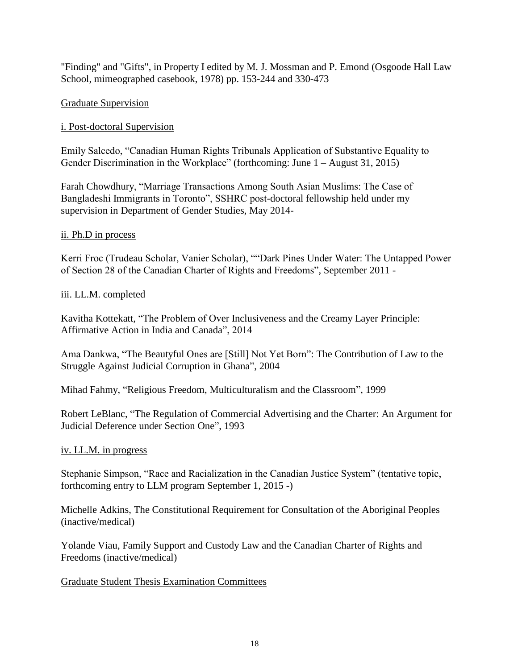"Finding" and "Gifts", in Property I edited by M. J. Mossman and P. Emond (Osgoode Hall Law School, mimeographed casebook, 1978) pp. 153-244 and 330-473

## Graduate Supervision

## i. Post-doctoral Supervision

Emily Salcedo, "Canadian Human Rights Tribunals Application of Substantive Equality to Gender Discrimination in the Workplace" (forthcoming: June 1 – August 31, 2015)

Farah Chowdhury, "Marriage Transactions Among South Asian Muslims: The Case of Bangladeshi Immigrants in Toronto", SSHRC post-doctoral fellowship held under my supervision in Department of Gender Studies, May 2014-

### ii. Ph.D in process

Kerri Froc (Trudeau Scholar, Vanier Scholar), ""Dark Pines Under Water: The Untapped Power of Section 28 of the Canadian Charter of Rights and Freedoms", September 2011 -

### iii. LL.M. completed

Kavitha Kottekatt, "The Problem of Over Inclusiveness and the Creamy Layer Principle: Affirmative Action in India and Canada", 2014

Ama Dankwa, "The Beautyful Ones are [Still] Not Yet Born": The Contribution of Law to the Struggle Against Judicial Corruption in Ghana", 2004

Mihad Fahmy, "Religious Freedom, Multiculturalism and the Classroom", 1999

Robert LeBlanc, "The Regulation of Commercial Advertising and the Charter: An Argument for Judicial Deference under Section One", 1993

### iv. LL.M. in progress

Stephanie Simpson, "Race and Racialization in the Canadian Justice System" (tentative topic, forthcoming entry to LLM program September 1, 2015 -)

Michelle Adkins, The Constitutional Requirement for Consultation of the Aboriginal Peoples (inactive/medical)

Yolande Viau, Family Support and Custody Law and the Canadian Charter of Rights and Freedoms (inactive/medical)

### Graduate Student Thesis Examination Committees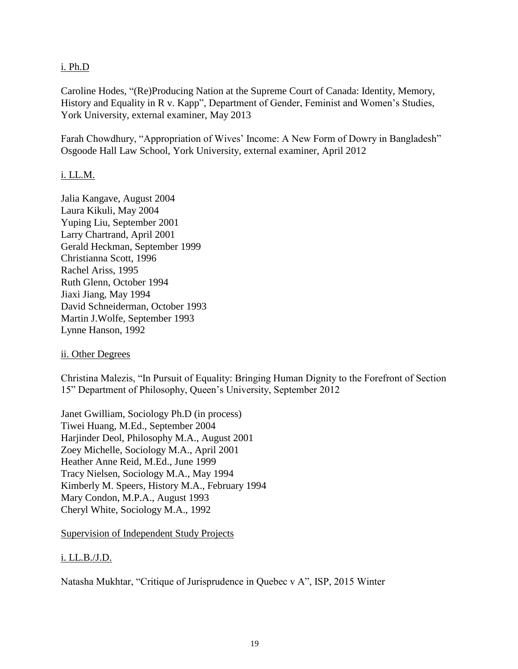## i. Ph.D

Caroline Hodes, "(Re)Producing Nation at the Supreme Court of Canada: Identity, Memory, History and Equality in R v. Kapp", Department of Gender, Feminist and Women's Studies, York University, external examiner, May 2013

Farah Chowdhury, "Appropriation of Wives' Income: A New Form of Dowry in Bangladesh" Osgoode Hall Law School, York University, external examiner, April 2012

## i. LL.M.

Jalia Kangave, August 2004 Laura Kikuli, May 2004 Yuping Liu, September 2001 Larry Chartrand, April 2001 Gerald Heckman, September 1999 Christianna Scott, 1996 Rachel Ariss, 1995 Ruth Glenn, October 1994 Jiaxi Jiang, May 1994 David Schneiderman, October 1993 Martin J.Wolfe, September 1993 Lynne Hanson, 1992

### ii. Other Degrees

Christina Malezis, "In Pursuit of Equality: Bringing Human Dignity to the Forefront of Section 15" Department of Philosophy, Queen's University, September 2012

Janet Gwilliam, Sociology Ph.D (in process) Tiwei Huang, M.Ed., September 2004 Harjinder Deol, Philosophy M.A., August 2001 Zoey Michelle, Sociology M.A., April 2001 Heather Anne Reid, M.Ed., June 1999 Tracy Nielsen, Sociology M.A., May 1994 Kimberly M. Speers, History M.A., February 1994 Mary Condon, M.P.A., August 1993 Cheryl White, Sociology M.A., 1992

### Supervision of Independent Study Projects

### i. LL.B./J.D.

Natasha Mukhtar, "Critique of Jurisprudence in Quebec v A", ISP, 2015 Winter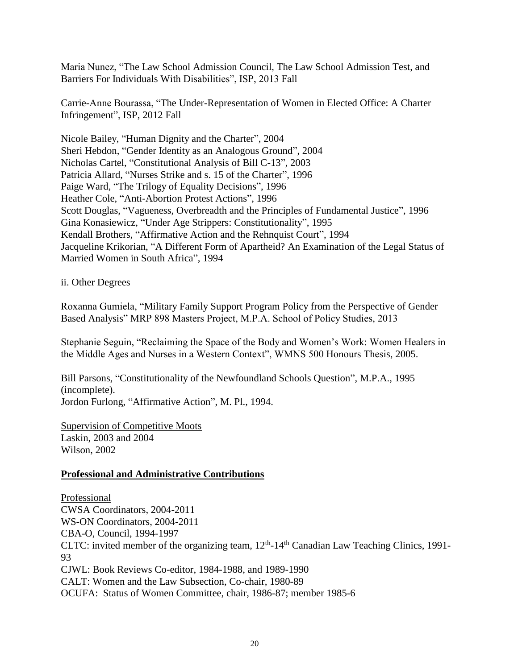Maria Nunez, "The Law School Admission Council, The Law School Admission Test, and Barriers For Individuals With Disabilities", ISP, 2013 Fall

Carrie-Anne Bourassa, "The Under-Representation of Women in Elected Office: A Charter Infringement", ISP, 2012 Fall

Nicole Bailey, "Human Dignity and the Charter", 2004 Sheri Hebdon, "Gender Identity as an Analogous Ground", 2004 Nicholas Cartel, "Constitutional Analysis of Bill C-13", 2003 Patricia Allard, "Nurses Strike and s. 15 of the Charter", 1996 Paige Ward, "The Trilogy of Equality Decisions", 1996 Heather Cole, "Anti-Abortion Protest Actions", 1996 Scott Douglas, "Vagueness, Overbreadth and the Principles of Fundamental Justice", 1996 Gina Konasiewicz, "Under Age Strippers: Constitutionality", 1995 Kendall Brothers, "Affirmative Action and the Rehnquist Court", 1994 Jacqueline Krikorian, "A Different Form of Apartheid? An Examination of the Legal Status of Married Women in South Africa", 1994

### ii. Other Degrees

Roxanna Gumiela, "Military Family Support Program Policy from the Perspective of Gender Based Analysis" MRP 898 Masters Project, M.P.A. School of Policy Studies, 2013

Stephanie Seguin, "Reclaiming the Space of the Body and Women's Work: Women Healers in the Middle Ages and Nurses in a Western Context", WMNS 500 Honours Thesis, 2005.

Bill Parsons, "Constitutionality of the Newfoundland Schools Question", M.P.A., 1995 (incomplete). Jordon Furlong, "Affirmative Action", M. Pl., 1994.

Supervision of Competitive Moots Laskin, 2003 and 2004 Wilson, 2002

### **Professional and Administrative Contributions**

Professional CWSA Coordinators, 2004-2011 WS-ON Coordinators, 2004-2011 CBA-O, Council, 1994-1997 CLTC: invited member of the organizing team,  $12<sup>th</sup>$ -14<sup>th</sup> Canadian Law Teaching Clinics, 1991-93 CJWL: Book Reviews Co-editor, 1984-1988, and 1989-1990 CALT: Women and the Law Subsection, Co-chair, 1980-89 OCUFA: Status of Women Committee, chair, 1986-87; member 1985-6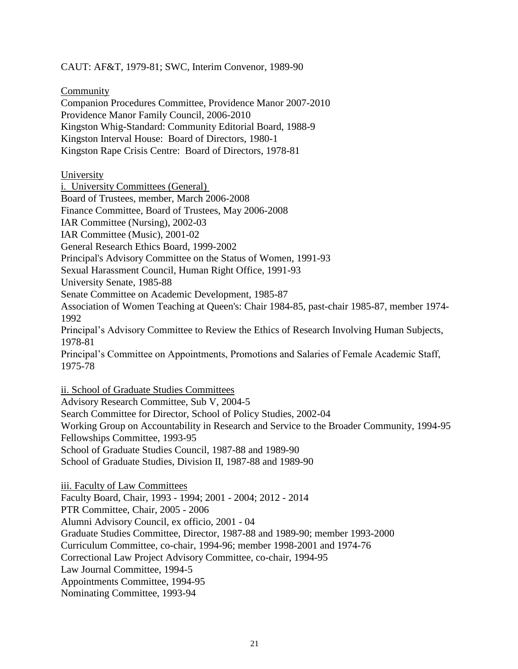CAUT: AF&T, 1979-81; SWC, Interim Convenor, 1989-90

Community

Companion Procedures Committee, Providence Manor 2007-2010 Providence Manor Family Council, 2006-2010 Kingston Whig-Standard: Community Editorial Board, 1988-9 Kingston Interval House: Board of Directors, 1980-1 Kingston Rape Crisis Centre: Board of Directors, 1978-81

University

i. University Committees (General) Board of Trustees, member, March 2006-2008 Finance Committee, Board of Trustees, May 2006-2008 IAR Committee (Nursing), 2002-03 IAR Committee (Music), 2001-02 General Research Ethics Board, 1999-2002 Principal's Advisory Committee on the Status of Women, 1991-93 Sexual Harassment Council, Human Right Office, 1991-93 University Senate, 1985-88 Senate Committee on Academic Development, 1985-87 Association of Women Teaching at Queen's: Chair 1984-85, past-chair 1985-87, member 1974- 1992 Principal's Advisory Committee to Review the Ethics of Research Involving Human Subjects, 1978-81 Principal's Committee on Appointments, Promotions and Salaries of Female Academic Staff, 1975-78 ii. School of Graduate Studies Committees Advisory Research Committee, Sub V, 2004-5 Search Committee for Director, School of Policy Studies, 2002-04 Working Group on Accountability in Research and Service to the Broader Community, 1994-95

Fellowships Committee, 1993-95

School of Graduate Studies Council, 1987-88 and 1989-90

School of Graduate Studies, Division II, 1987-88 and 1989-90

iii. Faculty of Law Committees Faculty Board, Chair, 1993 - 1994; 2001 - 2004; 2012 - 2014 PTR Committee, Chair, 2005 - 2006 Alumni Advisory Council, ex officio, 2001 - 04 Graduate Studies Committee, Director, 1987-88 and 1989-90; member 1993-2000 Curriculum Committee, co-chair, 1994-96; member 1998-2001 and 1974-76 Correctional Law Project Advisory Committee, co-chair, 1994-95 Law Journal Committee, 1994-5 Appointments Committee, 1994-95 Nominating Committee, 1993-94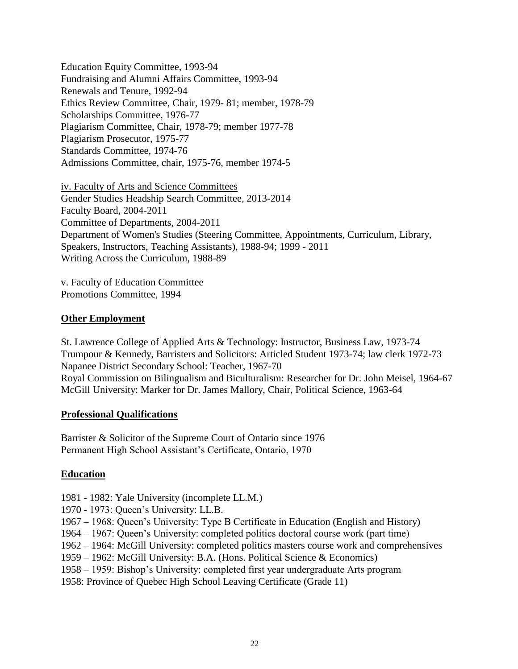Education Equity Committee, 1993-94 Fundraising and Alumni Affairs Committee, 1993-94 Renewals and Tenure, 1992-94 Ethics Review Committee, Chair, 1979- 81; member, 1978-79 Scholarships Committee, 1976-77 Plagiarism Committee, Chair, 1978-79; member 1977-78 Plagiarism Prosecutor, 1975-77 Standards Committee, 1974-76 Admissions Committee, chair, 1975-76, member 1974-5

iv. Faculty of Arts and Science Committees Gender Studies Headship Search Committee, 2013-2014 Faculty Board, 2004-2011 Committee of Departments, 2004-2011 Department of Women's Studies (Steering Committee, Appointments, Curriculum, Library, Speakers, Instructors, Teaching Assistants), 1988-94; 1999 - 2011 Writing Across the Curriculum, 1988-89

v. Faculty of Education Committee Promotions Committee, 1994

## **Other Employment**

St. Lawrence College of Applied Arts & Technology: Instructor, Business Law, 1973-74 Trumpour & Kennedy, Barristers and Solicitors: Articled Student 1973-74; law clerk 1972-73 Napanee District Secondary School: Teacher, 1967-70 Royal Commission on Bilingualism and Biculturalism: Researcher for Dr. John Meisel, 1964-67 McGill University: Marker for Dr. James Mallory, Chair, Political Science, 1963-64

### **Professional Qualifications**

Barrister & Solicitor of the Supreme Court of Ontario since 1976 Permanent High School Assistant's Certificate, Ontario, 1970

# **Education**

1981 - 1982: Yale University (incomplete LL.M.)

- 1970 1973: Queen's University: LL.B.
- 1967 1968: Queen's University: Type B Certificate in Education (English and History)
- 1964 1967: Queen's University: completed politics doctoral course work (part time)
- 1962 1964: McGill University: completed politics masters course work and comprehensives
- 1959 1962: McGill University: B.A. (Hons. Political Science & Economics)
- 1958 1959: Bishop's University: completed first year undergraduate Arts program
- 1958: Province of Quebec High School Leaving Certificate (Grade 11)